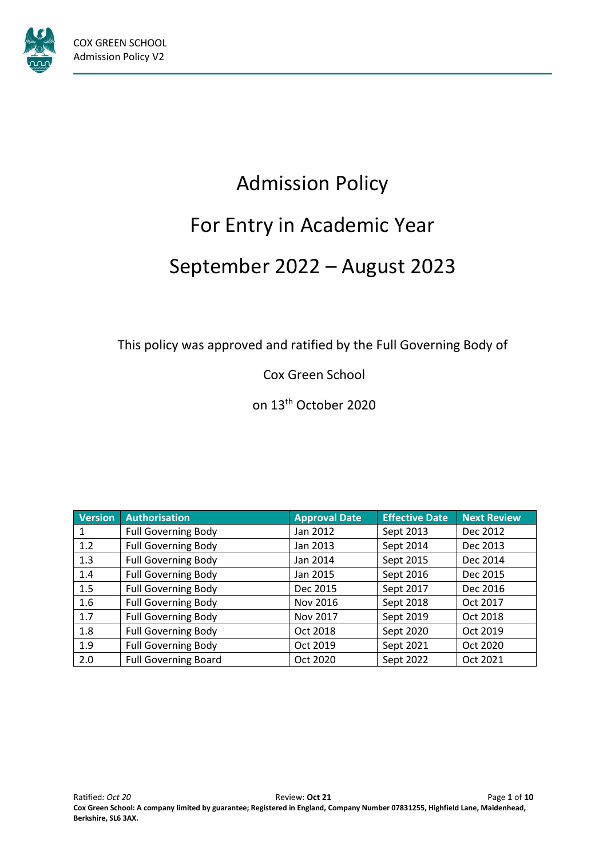

# Admission Policy For Entry in Academic Year September 2022 – August 2023

This policy was approved and ratified by the Full Governing Body of

Cox Green School

on 13th October 2020

| <b>Version</b> | <b>Authorisation</b>        | <b>Approval Date</b> | <b>Effective Date</b> | <b>Next Review</b> |
|----------------|-----------------------------|----------------------|-----------------------|--------------------|
|                | <b>Full Governing Body</b>  | Jan 2012             | Sept 2013             | Dec 2012           |
| 1.2            | <b>Full Governing Body</b>  | Jan 2013             | Sept 2014             | Dec 2013           |
| 1.3            | <b>Full Governing Body</b>  | Jan 2014             | Sept 2015             | Dec 2014           |
| 1.4            | <b>Full Governing Body</b>  | Jan 2015             | Sept 2016             | Dec 2015           |
| 1.5            | <b>Full Governing Body</b>  | Dec 2015             | Sept 2017             | Dec 2016           |
| 1.6            | <b>Full Governing Body</b>  | Nov 2016             | Sept 2018             | Oct 2017           |
| 1.7            | <b>Full Governing Body</b>  | Nov 2017             | Sept 2019             | Oct 2018           |
| 1.8            | <b>Full Governing Body</b>  | Oct 2018             | Sept 2020             | Oct 2019           |
| 1.9            | <b>Full Governing Body</b>  | Oct 2019             | Sept 2021             | Oct 2020           |
| 2.0            | <b>Full Governing Board</b> | Oct 2020             | Sept 2022             | Oct 2021           |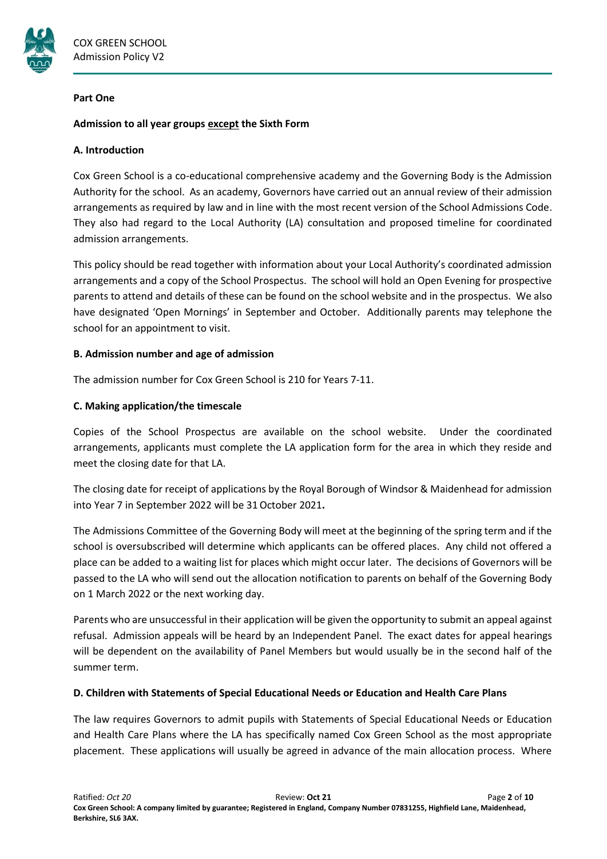

#### **Part One**

# **Admission to all year groups except the Sixth Form**

### **A. Introduction**

Cox Green School is a co-educational comprehensive academy and the Governing Body is the Admission Authority for the school. As an academy, Governors have carried out an annual review of their admission arrangements as required by law and in line with the most recent version of the School Admissions Code. They also had regard to the Local Authority (LA) consultation and proposed timeline for coordinated admission arrangements.

This policy should be read together with information about your Local Authority's coordinated admission arrangements and a copy of the School Prospectus. The school will hold an Open Evening for prospective parents to attend and details of these can be found on the school website and in the prospectus. We also have designated 'Open Mornings' in September and October. Additionally parents may telephone the school for an appointment to visit.

# **B. Admission number and age of admission**

The admission number for Cox Green School is 210 for Years 7-11.

# **C. Making application/the timescale**

Copies of the School Prospectus are available on the school website. Under the coordinated arrangements, applicants must complete the LA application form for the area in which they reside and meet the closing date for that LA.

The closing date for receipt of applications by the Royal Borough of Windsor & Maidenhead for admission into Year 7 in September 2022 will be 31October 2021**.**

The Admissions Committee of the Governing Body will meet at the beginning of the spring term and if the school is oversubscribed will determine which applicants can be offered places. Any child not offered a place can be added to a waiting list for places which might occur later. The decisions of Governors will be passed to the LA who will send out the allocation notification to parents on behalf of the Governing Body on 1 March 2022 or the next working day.

Parents who are unsuccessful in their application will be given the opportunity to submit an appeal against refusal. Admission appeals will be heard by an Independent Panel. The exact dates for appeal hearings will be dependent on the availability of Panel Members but would usually be in the second half of the summer term.

#### **D. Children with Statements of Special Educational Needs or Education and Health Care Plans**

The law requires Governors to admit pupils with Statements of Special Educational Needs or Education and Health Care Plans where the LA has specifically named Cox Green School as the most appropriate placement. These applications will usually be agreed in advance of the main allocation process. Where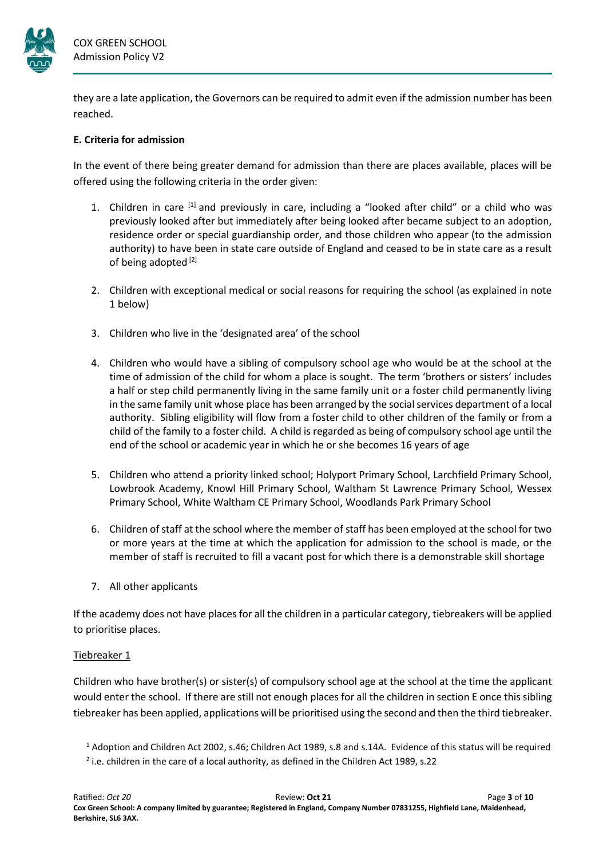

they are a late application, the Governors can be required to admit even if the admission number has been reached.

# **E. Criteria for admission**

In the event of there being greater demand for admission than there are places available, places will be offered using the following criteria in the order given:

- 1. Children in care  $\left[1\right]$  and previously in care, including a "looked after child" or a child who was previously looked after but immediately after being looked after became subject to an adoption, residence order or special guardianship order, and those children who appear (to the admission authority) to have been in state care outside of England and ceased to be in state care as a result of being adopted<sup>[2]</sup>
- 2. Children with exceptional medical or social reasons for requiring the school (as explained in note 1 below)
- 3. Children who live in the 'designated area' of the school
- 4. Children who would have a sibling of compulsory school age who would be at the school at the time of admission of the child for whom a place is sought. The term 'brothers or sisters' includes a half or step child permanently living in the same family unit or a foster child permanently living in the same family unit whose place has been arranged by the social services department of a local authority. Sibling eligibility will flow from a foster child to other children of the family or from a child of the family to a foster child. A child is regarded as being of compulsory school age until the end of the school or academic year in which he or she becomes 16 years of age
- 5. Children who attend a priority linked school; Holyport Primary School, Larchfield Primary School, Lowbrook Academy, Knowl Hill Primary School, Waltham St Lawrence Primary School, Wessex Primary School, White Waltham CE Primary School, Woodlands Park Primary School
- 6. Children of staff at the school where the member of staff has been employed at the school for two or more years at the time at which the application for admission to the school is made, or the member of staff is recruited to fill a vacant post for which there is a demonstrable skill shortage
- 7. All other applicants

If the academy does not have places for all the children in a particular category, tiebreakers will be applied to prioritise places.

#### Tiebreaker 1

Children who have brother(s) or sister(s) of compulsory school age at the school at the time the applicant would enter the school. If there are still not enough places for all the children in section E once this sibling tiebreaker has been applied, applications will be prioritised using the second and then the third tiebreaker.

<sup>1</sup> Adoption and Children Act 2002, s.46; Children Act 1989, s.8 and s.14A. Evidence of this status will be required 2 i.e. children in the care of a local authority, as defined in the Children Act 1989, s.22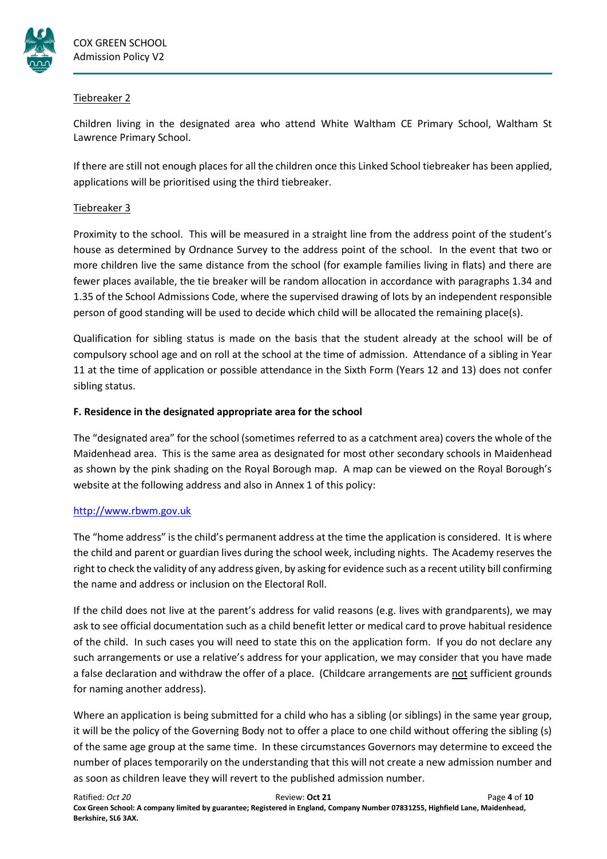

# Tiebreaker 2

Children living in the designated area who attend White Waltham CE Primary School, Waltham St Lawrence Primary School.

If there are still not enough places for all the children once this Linked School tiebreaker has been applied, applications will be prioritised using the third tiebreaker.

# Tiebreaker 3

Proximity to the school. This will be measured in a straight line from the address point of the student's house as determined by Ordnance Survey to the address point of the school. In the event that two or more children live the same distance from the school (for example families living in flats) and there are fewer places available, the tie breaker will be random allocation in accordance with paragraphs 1.34 and 1.35 of the School Admissions Code, where the supervised drawing of lots by an independent responsible person of good standing will be used to decide which child will be allocated the remaining place(s).

Qualification for sibling status is made on the basis that the student already at the school will be of compulsory school age and on roll at the school at the time of admission. Attendance of a sibling in Year 11 at the time of application or possible attendance in the Sixth Form (Years 12 and 13) does not confer sibling status.

# **F. Residence in the designated appropriate area for the school**

The "designated area" for the school (sometimes referred to as a catchment area) covers the whole of the Maidenhead area. This is the same area as designated for most other secondary schools in Maidenhead as shown by the pink shading on the Royal Borough map. A map can be viewed on the Royal Borough's website at the following address and also in Annex 1 of this policy:

# [http://www.rbwm.gov.uk](http://www.rbwm.gov.uk/)

The "home address" is the child's permanent address at the time the application is considered. It is where the child and parent or guardian lives during the school week, including nights. The Academy reserves the right to check the validity of any address given, by asking for evidence such as a recent utility bill confirming the name and address or inclusion on the Electoral Roll.

If the child does not live at the parent's address for valid reasons (e.g. lives with grandparents), we may ask to see official documentation such as a child benefit letter or medical card to prove habitual residence of the child. In such cases you will need to state this on the application form. If you do not declare any such arrangements or use a relative's address for your application, we may consider that you have made a false declaration and withdraw the offer of a place. (Childcare arrangements are not sufficient grounds for naming another address).

Where an application is being submitted for a child who has a sibling (or siblings) in the same year group, it will be the policy of the Governing Body not to offer a place to one child without offering the sibling (s) of the same age group at the same time. In these circumstances Governors may determine to exceed the number of places temporarily on the understanding that this will not create a new admission number and as soon as children leave they will revert to the published admission number.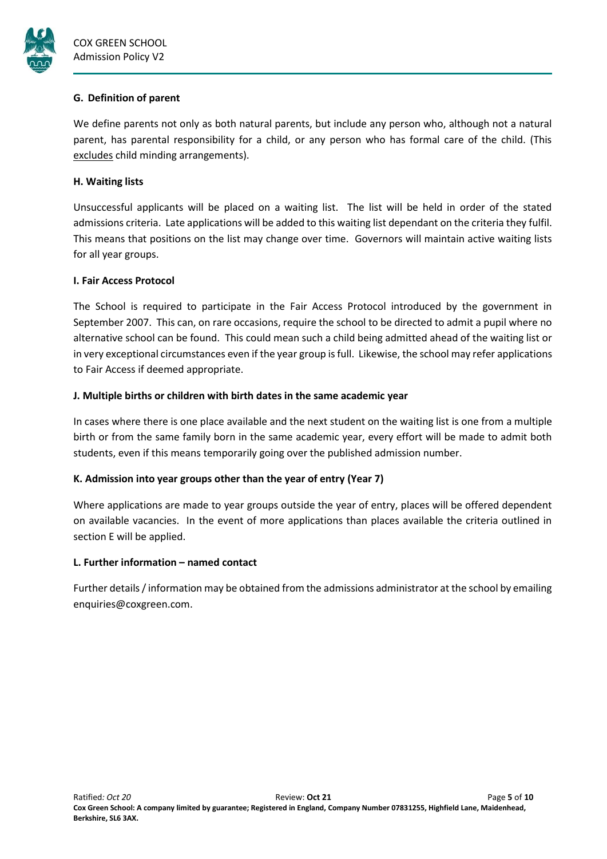

# **G. Definition of parent**

We define parents not only as both natural parents, but include any person who, although not a natural parent, has parental responsibility for a child, or any person who has formal care of the child. (This excludes child minding arrangements).

# **H. Waiting lists**

Unsuccessful applicants will be placed on a waiting list. The list will be held in order of the stated admissions criteria. Late applications will be added to this waiting list dependant on the criteria they fulfil. This means that positions on the list may change over time. Governors will maintain active waiting lists for all year groups.

# **I. Fair Access Protocol**

The School is required to participate in the Fair Access Protocol introduced by the government in September 2007. This can, on rare occasions, require the school to be directed to admit a pupil where no alternative school can be found. This could mean such a child being admitted ahead of the waiting list or in very exceptional circumstances even if the year group is full. Likewise, the school may refer applications to Fair Access if deemed appropriate.

# **J. Multiple births or children with birth dates in the same academic year**

In cases where there is one place available and the next student on the waiting list is one from a multiple birth or from the same family born in the same academic year, every effort will be made to admit both students, even if this means temporarily going over the published admission number.

# **K. Admission into year groups other than the year of entry (Year 7)**

Where applications are made to year groups outside the year of entry, places will be offered dependent on available vacancies. In the event of more applications than places available the criteria outlined in section E will be applied.

# **L. Further information – named contact**

Further details / information may be obtained from the admissions administrator at the school by emailing enquiries@coxgreen.com.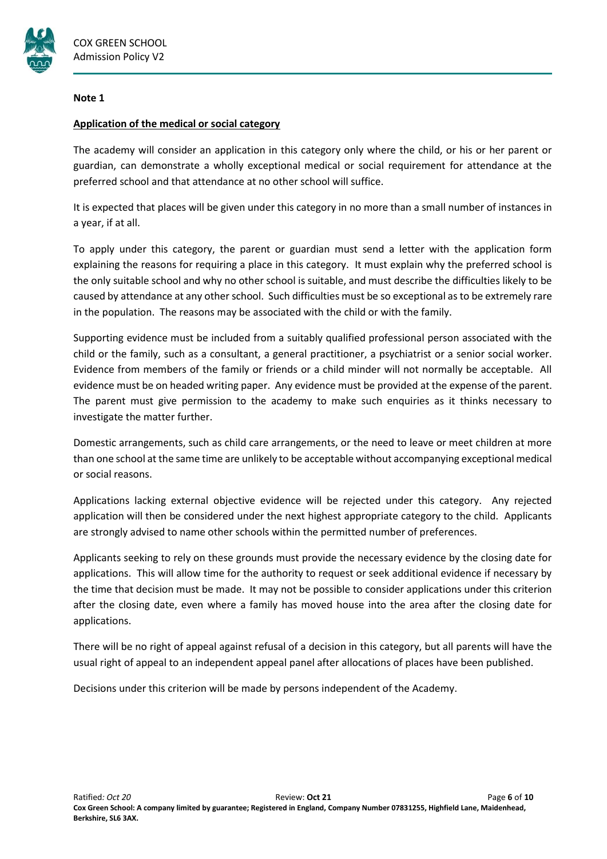

#### **Note 1**

# **Application of the medical or social category**

The academy will consider an application in this category only where the child, or his or her parent or guardian, can demonstrate a wholly exceptional medical or social requirement for attendance at the preferred school and that attendance at no other school will suffice.

It is expected that places will be given under this category in no more than a small number of instances in a year, if at all.

To apply under this category, the parent or guardian must send a letter with the application form explaining the reasons for requiring a place in this category. It must explain why the preferred school is the only suitable school and why no other school is suitable, and must describe the difficulties likely to be caused by attendance at any other school. Such difficulties must be so exceptional as to be extremely rare in the population. The reasons may be associated with the child or with the family.

Supporting evidence must be included from a suitably qualified professional person associated with the child or the family, such as a consultant, a general practitioner, a psychiatrist or a senior social worker. Evidence from members of the family or friends or a child minder will not normally be acceptable. All evidence must be on headed writing paper. Any evidence must be provided at the expense of the parent. The parent must give permission to the academy to make such enquiries as it thinks necessary to investigate the matter further.

Domestic arrangements, such as child care arrangements, or the need to leave or meet children at more than one school at the same time are unlikely to be acceptable without accompanying exceptional medical or social reasons.

Applications lacking external objective evidence will be rejected under this category. Any rejected application will then be considered under the next highest appropriate category to the child. Applicants are strongly advised to name other schools within the permitted number of preferences.

Applicants seeking to rely on these grounds must provide the necessary evidence by the closing date for applications. This will allow time for the authority to request or seek additional evidence if necessary by the time that decision must be made. It may not be possible to consider applications under this criterion after the closing date, even where a family has moved house into the area after the closing date for applications.

There will be no right of appeal against refusal of a decision in this category, but all parents will have the usual right of appeal to an independent appeal panel after allocations of places have been published.

Decisions under this criterion will be made by persons independent of the Academy.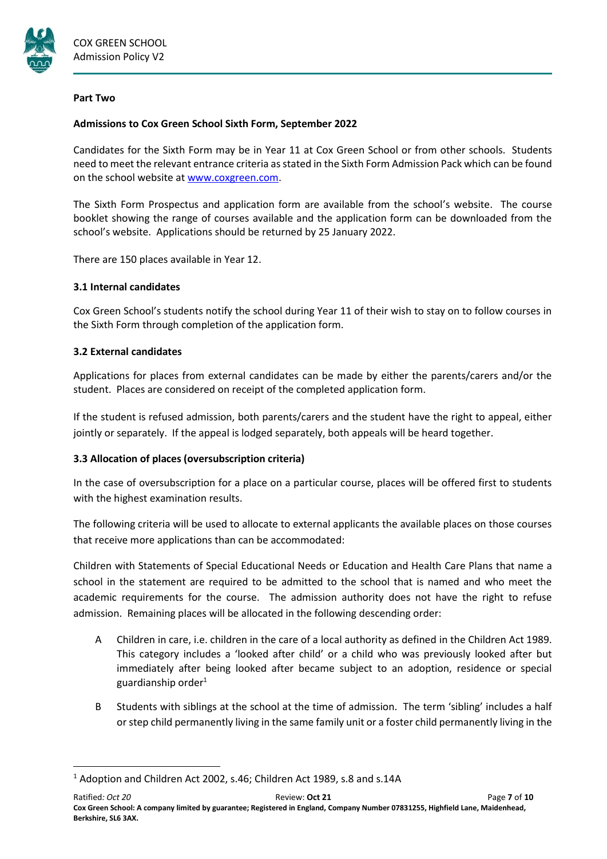

#### **Part Two**

# **Admissions to Cox Green School Sixth Form, September 2022**

Candidates for the Sixth Form may be in Year 11 at Cox Green School or from other schools. Students need to meet the relevant entrance criteria as stated in the Sixth Form Admission Pack which can be found on the school website at [www.coxgreen.com.](http://www.coxgreen.com/)

The Sixth Form Prospectus and application form are available from the school's website. The course booklet showing the range of courses available and the application form can be downloaded from the school's website. Applications should be returned by 25 January 2022.

There are 150 places available in Year 12.

# **3.1 Internal candidates**

Cox Green School's students notify the school during Year 11 of their wish to stay on to follow courses in the Sixth Form through completion of the application form.

# **3.2 External candidates**

**.** 

Applications for places from external candidates can be made by either the parents/carers and/or the student. Places are considered on receipt of the completed application form.

If the student is refused admission, both parents/carers and the student have the right to appeal, either jointly or separately. If the appeal is lodged separately, both appeals will be heard together.

# **3.3 Allocation of places (oversubscription criteria)**

In the case of oversubscription for a place on a particular course, places will be offered first to students with the highest examination results.

The following criteria will be used to allocate to external applicants the available places on those courses that receive more applications than can be accommodated:

Children with Statements of Special Educational Needs or Education and Health Care Plans that name a school in the statement are required to be admitted to the school that is named and who meet the academic requirements for the course. The admission authority does not have the right to refuse admission. Remaining places will be allocated in the following descending order:

- A Children in care, i.e. children in the care of a local authority as defined in the Children Act 1989. This category includes a 'looked after child' or a child who was previously looked after but immediately after being looked after became subject to an adoption, residence or special guardianship order $1$
- B Students with siblings at the school at the time of admission. The term 'sibling' includes a half or step child permanently living in the same family unit or a foster child permanently living in the

<sup>&</sup>lt;sup>1</sup> Adoption and Children Act 2002, s.46; Children Act 1989, s.8 and s.14A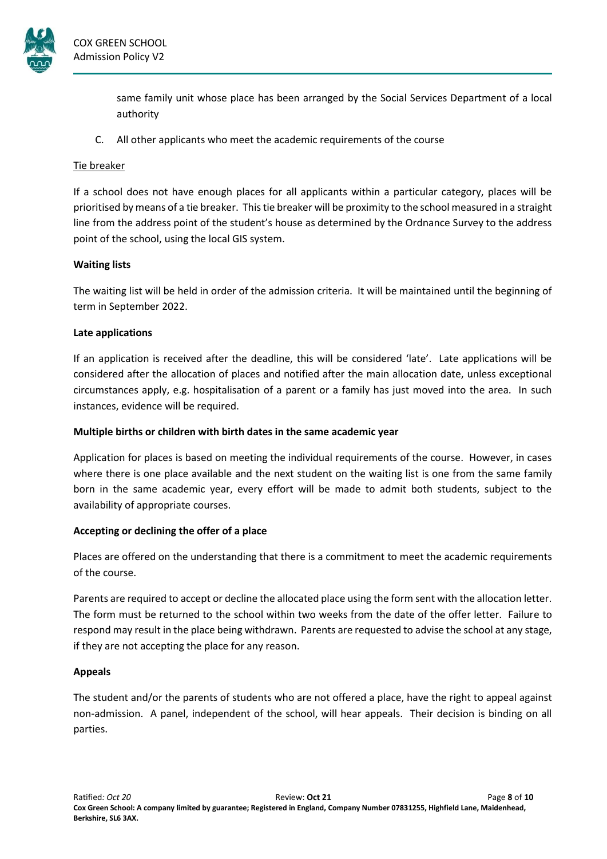

same family unit whose place has been arranged by the Social Services Department of a local authority

C. All other applicants who meet the academic requirements of the course

# Tie breaker

If a school does not have enough places for all applicants within a particular category, places will be prioritised by means of a tie breaker. Thistie breaker will be proximity to the school measured in a straight line from the address point of the student's house as determined by the Ordnance Survey to the address point of the school, using the local GIS system.

# **Waiting lists**

The waiting list will be held in order of the admission criteria. It will be maintained until the beginning of term in September 2022.

# **Late applications**

If an application is received after the deadline, this will be considered 'late'. Late applications will be considered after the allocation of places and notified after the main allocation date, unless exceptional circumstances apply, e.g. hospitalisation of a parent or a family has just moved into the area. In such instances, evidence will be required.

### **Multiple births or children with birth dates in the same academic year**

Application for places is based on meeting the individual requirements of the course. However, in cases where there is one place available and the next student on the waiting list is one from the same family born in the same academic year, every effort will be made to admit both students, subject to the availability of appropriate courses.

# **Accepting or declining the offer of a place**

Places are offered on the understanding that there is a commitment to meet the academic requirements of the course.

Parents are required to accept or decline the allocated place using the form sent with the allocation letter. The form must be returned to the school within two weeks from the date of the offer letter. Failure to respond may result in the place being withdrawn. Parents are requested to advise the school at any stage, if they are not accepting the place for any reason.

# **Appeals**

The student and/or the parents of students who are not offered a place, have the right to appeal against non-admission. A panel, independent of the school, will hear appeals. Their decision is binding on all parties.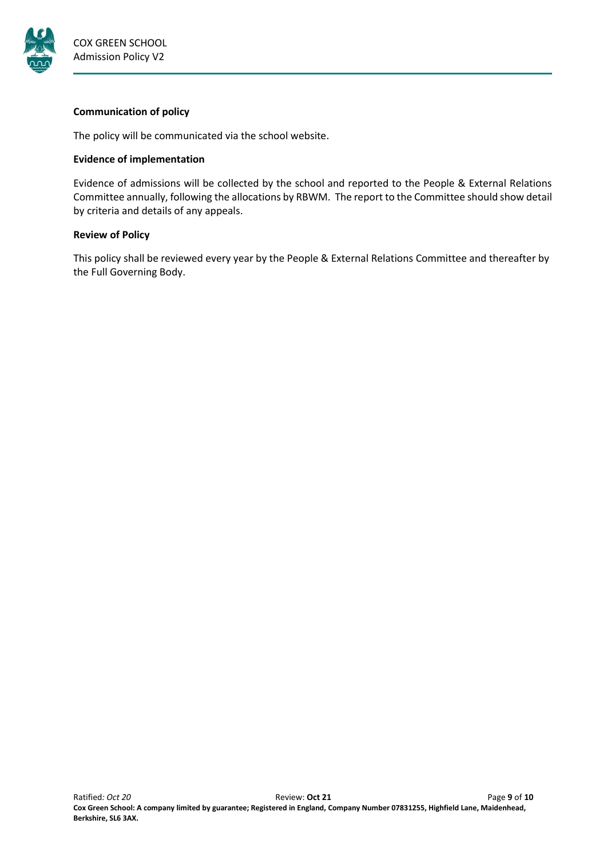

### **Communication of policy**

The policy will be communicated via the school website.

# **Evidence of implementation**

Evidence of admissions will be collected by the school and reported to the People & External Relations Committee annually, following the allocations by RBWM. The report to the Committee should show detail by criteria and details of any appeals.

# **Review of Policy**

This policy shall be reviewed every year by the People & External Relations Committee and thereafter by the Full Governing Body.